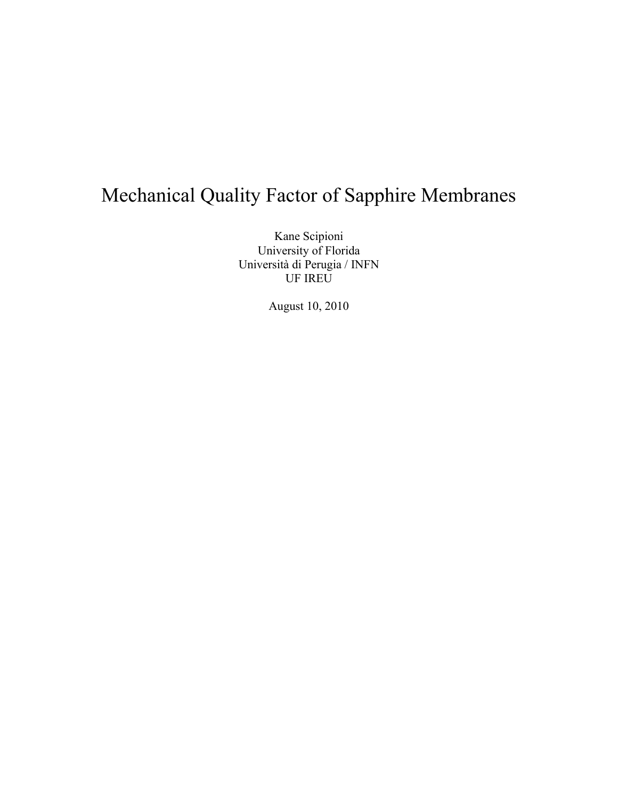# Mechanical Quality Factor of Sapphire Membranes

Kane Scipioni University of Florida Università di Perugia / INFN UF IREU

August 10, 2010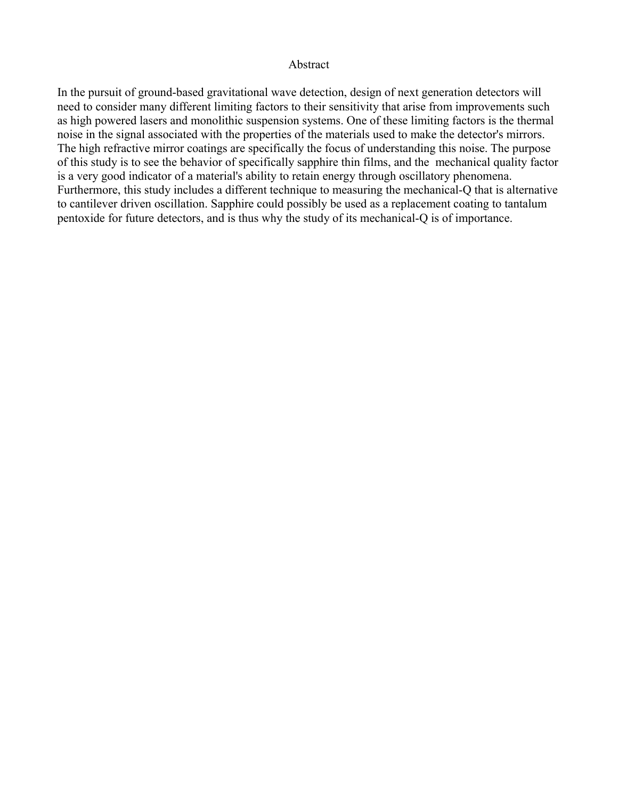#### Abstract

In the pursuit of ground-based gravitational wave detection, design of next generation detectors will need to consider many different limiting factors to their sensitivity that arise from improvements such as high powered lasers and monolithic suspension systems. One of these limiting factors is the thermal noise in the signal associated with the properties of the materials used to make the detector's mirrors. The high refractive mirror coatings are specifically the focus of understanding this noise. The purpose of this study is to see the behavior of specifically sapphire thin films, and the mechanical quality factor is a very good indicator of a material's ability to retain energy through oscillatory phenomena. Furthermore, this study includes a different technique to measuring the mechanical-Q that is alternative to cantilever driven oscillation. Sapphire could possibly be used as a replacement coating to tantalum pentoxide for future detectors, and is thus why the study of its mechanical-Q is of importance.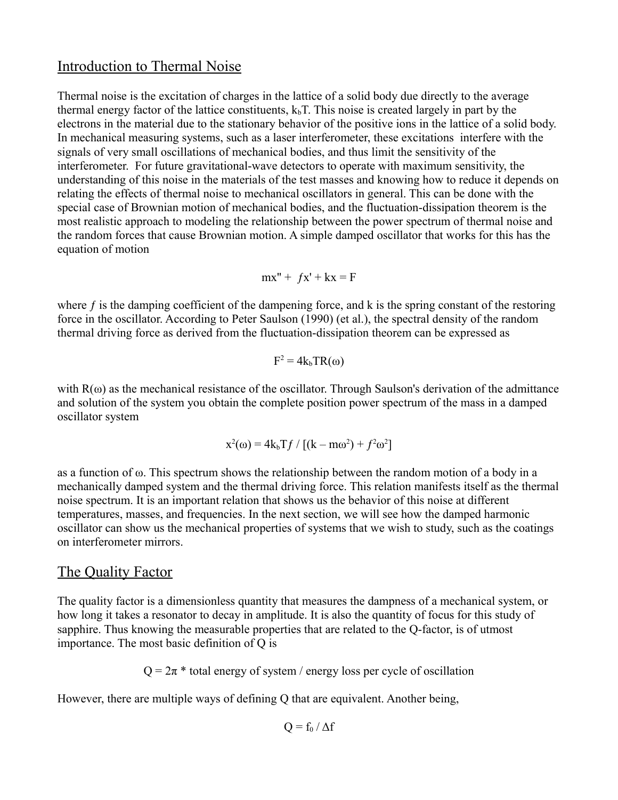# Introduction to Thermal Noise

Thermal noise is the excitation of charges in the lattice of a solid body due directly to the average thermal energy factor of the lattice constituents,  $k<sub>b</sub>T$ . This noise is created largely in part by the electrons in the material due to the stationary behavior of the positive ions in the lattice of a solid body. In mechanical measuring systems, such as a laser interferometer, these excitations interfere with the signals of very small oscillations of mechanical bodies, and thus limit the sensitivity of the interferometer. For future gravitational-wave detectors to operate with maximum sensitivity, the understanding of this noise in the materials of the test masses and knowing how to reduce it depends on relating the effects of thermal noise to mechanical oscillators in general. This can be done with the special case of Brownian motion of mechanical bodies, and the fluctuation-dissipation theorem is the most realistic approach to modeling the relationship between the power spectrum of thermal noise and the random forces that cause Brownian motion. A simple damped oscillator that works for this has the equation of motion

$$
mx'' + fx' + kx = F
$$

where  $f$  is the damping coefficient of the dampening force, and  $k$  is the spring constant of the restoring force in the oscillator. According to Peter Saulson (1990) (et al.), the spectral density of the random thermal driving force as derived from the fluctuation-dissipation theorem can be expressed as

$$
F^2 = 4k_bTR(\omega)
$$

with  $R(\omega)$  as the mechanical resistance of the oscillator. Through Saulson's derivation of the admittance and solution of the system you obtain the complete position power spectrum of the mass in a damped oscillator system

$$
x^2(\omega) = 4k_bTf / [(k - m\omega^2) + f^2\omega^2]
$$

as a function of ω. This spectrum shows the relationship between the random motion of a body in a mechanically damped system and the thermal driving force. This relation manifests itself as the thermal noise spectrum. It is an important relation that shows us the behavior of this noise at different temperatures, masses, and frequencies. In the next section, we will see how the damped harmonic oscillator can show us the mechanical properties of systems that we wish to study, such as the coatings on interferometer mirrors.

# The Quality Factor

The quality factor is a dimensionless quantity that measures the dampness of a mechanical system, or how long it takes a resonator to decay in amplitude. It is also the quantity of focus for this study of sapphire. Thus knowing the measurable properties that are related to the Q-factor, is of utmost importance. The most basic definition of Q is

 $Q = 2\pi$  \* total energy of system / energy loss per cycle of oscillation

However, there are multiple ways of defining Q that are equivalent. Another being,

$$
Q = f_0 / \Delta f
$$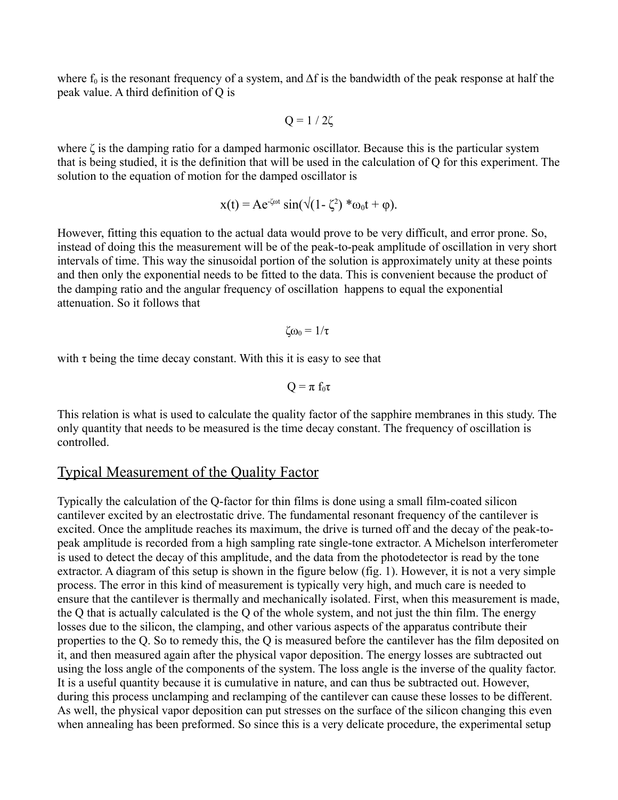where  $f_0$  is the resonant frequency of a system, and  $\Delta f$  is the bandwidth of the peak response at half the peak value. A third definition of Q is

$$
Q = 1 / 2\zeta
$$

where ζ is the damping ratio for a damped harmonic oscillator. Because this is the particular system that is being studied, it is the definition that will be used in the calculation of Q for this experiment. The solution to the equation of motion for the damped oscillator is

$$
x(t) = Ae^{-\zeta \omega t} \sin(\sqrt{(1-\zeta^2)} * \omega_0 t + \varphi).
$$

However, fitting this equation to the actual data would prove to be very difficult, and error prone. So, instead of doing this the measurement will be of the peak-to-peak amplitude of oscillation in very short intervals of time. This way the sinusoidal portion of the solution is approximately unity at these points and then only the exponential needs to be fitted to the data. This is convenient because the product of the damping ratio and the angular frequency of oscillation happens to equal the exponential attenuation. So it follows that

$$
\zeta\omega_0=1/\tau
$$

with  $\tau$  being the time decay constant. With this it is easy to see that

$$
Q=\pi\;f_0\tau
$$

This relation is what is used to calculate the quality factor of the sapphire membranes in this study. The only quantity that needs to be measured is the time decay constant. The frequency of oscillation is controlled.

# Typical Measurement of the Quality Factor

Typically the calculation of the Q-factor for thin films is done using a small film-coated silicon cantilever excited by an electrostatic drive. The fundamental resonant frequency of the cantilever is excited. Once the amplitude reaches its maximum, the drive is turned off and the decay of the peak-topeak amplitude is recorded from a high sampling rate single-tone extractor. A Michelson interferometer is used to detect the decay of this amplitude, and the data from the photodetector is read by the tone extractor. A diagram of this setup is shown in the figure below (fig. 1). However, it is not a very simple process. The error in this kind of measurement is typically very high, and much care is needed to ensure that the cantilever is thermally and mechanically isolated. First, when this measurement is made, the Q that is actually calculated is the Q of the whole system, and not just the thin film. The energy losses due to the silicon, the clamping, and other various aspects of the apparatus contribute their properties to the Q. So to remedy this, the Q is measured before the cantilever has the film deposited on it, and then measured again after the physical vapor deposition. The energy losses are subtracted out using the loss angle of the components of the system. The loss angle is the inverse of the quality factor. It is a useful quantity because it is cumulative in nature, and can thus be subtracted out. However, during this process unclamping and reclamping of the cantilever can cause these losses to be different. As well, the physical vapor deposition can put stresses on the surface of the silicon changing this even when annealing has been preformed. So since this is a very delicate procedure, the experimental setup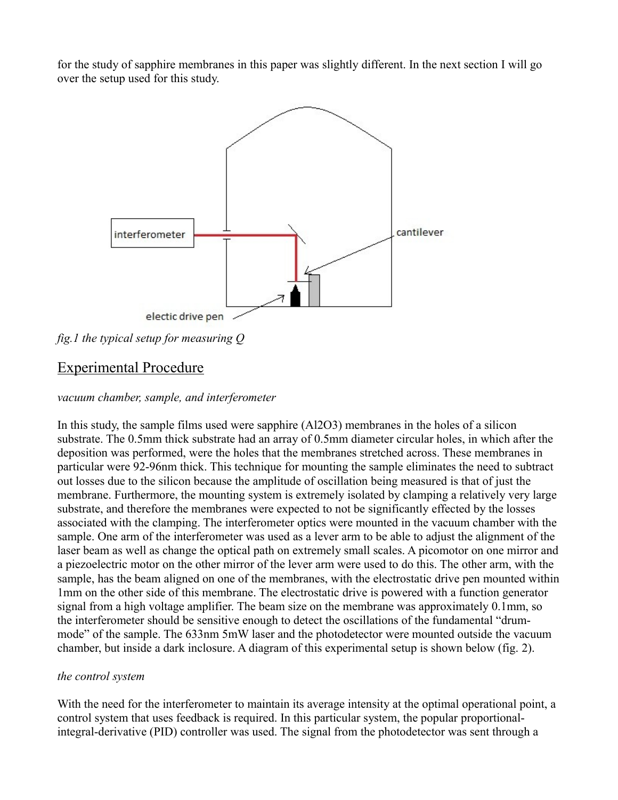for the study of sapphire membranes in this paper was slightly different. In the next section I will go over the setup used for this study.



*fig.1 the typical setup for measuring Q*

# Experimental Procedure

#### *vacuum chamber, sample, and interferometer*

In this study, the sample films used were sapphire (Al2O3) membranes in the holes of a silicon substrate. The 0.5mm thick substrate had an array of 0.5mm diameter circular holes, in which after the deposition was performed, were the holes that the membranes stretched across. These membranes in particular were 92-96nm thick. This technique for mounting the sample eliminates the need to subtract out losses due to the silicon because the amplitude of oscillation being measured is that of just the membrane. Furthermore, the mounting system is extremely isolated by clamping a relatively very large substrate, and therefore the membranes were expected to not be significantly effected by the losses associated with the clamping. The interferometer optics were mounted in the vacuum chamber with the sample. One arm of the interferometer was used as a lever arm to be able to adjust the alignment of the laser beam as well as change the optical path on extremely small scales. A picomotor on one mirror and a piezoelectric motor on the other mirror of the lever arm were used to do this. The other arm, with the sample, has the beam aligned on one of the membranes, with the electrostatic drive pen mounted within 1mm on the other side of this membrane. The electrostatic drive is powered with a function generator signal from a high voltage amplifier. The beam size on the membrane was approximately 0.1mm, so the interferometer should be sensitive enough to detect the oscillations of the fundamental "drummode" of the sample. The 633nm 5mW laser and the photodetector were mounted outside the vacuum chamber, but inside a dark inclosure. A diagram of this experimental setup is shown below (fig. 2).

#### *the control system*

With the need for the interferometer to maintain its average intensity at the optimal operational point, a control system that uses feedback is required. In this particular system, the popular proportionalintegral-derivative (PID) controller was used. The signal from the photodetector was sent through a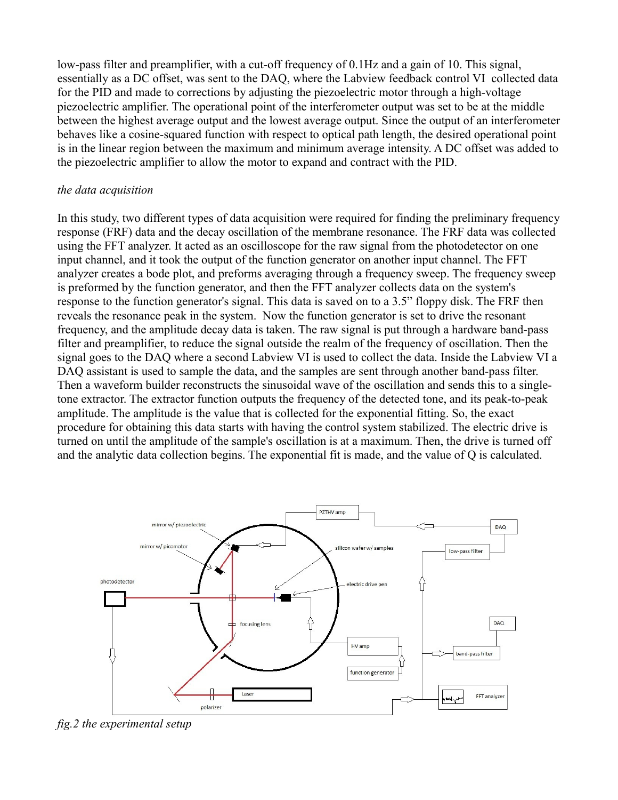low-pass filter and preamplifier, with a cut-off frequency of 0.1Hz and a gain of 10. This signal, essentially as a DC offset, was sent to the DAQ, where the Labview feedback control VI collected data for the PID and made to corrections by adjusting the piezoelectric motor through a high-voltage piezoelectric amplifier. The operational point of the interferometer output was set to be at the middle between the highest average output and the lowest average output. Since the output of an interferometer behaves like a cosine-squared function with respect to optical path length, the desired operational point is in the linear region between the maximum and minimum average intensity. A DC offset was added to the piezoelectric amplifier to allow the motor to expand and contract with the PID.

#### *the data acquisition*

In this study, two different types of data acquisition were required for finding the preliminary frequency response (FRF) data and the decay oscillation of the membrane resonance. The FRF data was collected using the FFT analyzer. It acted as an oscilloscope for the raw signal from the photodetector on one input channel, and it took the output of the function generator on another input channel. The FFT analyzer creates a bode plot, and preforms averaging through a frequency sweep. The frequency sweep is preformed by the function generator, and then the FFT analyzer collects data on the system's response to the function generator's signal. This data is saved on to a 3.5" floppy disk. The FRF then reveals the resonance peak in the system. Now the function generator is set to drive the resonant frequency, and the amplitude decay data is taken. The raw signal is put through a hardware band-pass filter and preamplifier, to reduce the signal outside the realm of the frequency of oscillation. Then the signal goes to the DAQ where a second Labview VI is used to collect the data. Inside the Labview VI a DAQ assistant is used to sample the data, and the samples are sent through another band-pass filter. Then a waveform builder reconstructs the sinusoidal wave of the oscillation and sends this to a singletone extractor. The extractor function outputs the frequency of the detected tone, and its peak-to-peak amplitude. The amplitude is the value that is collected for the exponential fitting. So, the exact procedure for obtaining this data starts with having the control system stabilized. The electric drive is turned on until the amplitude of the sample's oscillation is at a maximum. Then, the drive is turned off and the analytic data collection begins. The exponential fit is made, and the value of Q is calculated.



*fig.2 the experimental setup*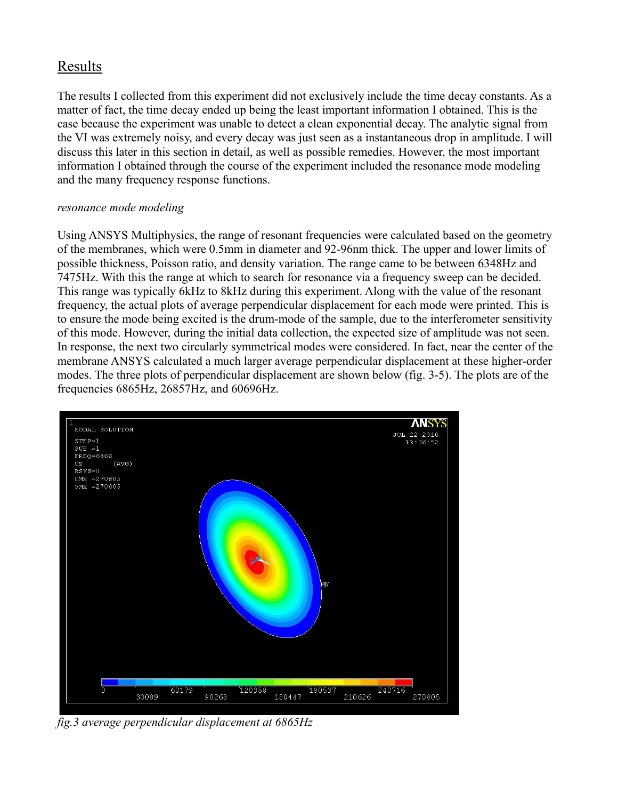# Results

The results I collected from this experiment did not exclusively include the time decay constants. As a matter of fact, the time decay ended up being the least important information I obtained. This is the case because the experiment was unable to detect a clean exponential decay. The analytic signal from the VI was extremely noisy, and every decay was just seen as a instantaneous drop in amplitude. I will discuss this later in this section in detail, as well as possible remedies. However, the most important information I obtained through the course of the experiment included the resonance mode modeling and the many frequency response functions.

#### *resonance mode modeling*

Using ANSYS Multiphysics, the range of resonant frequencies were calculated based on the geometry of the membranes, which were 0.5mm in diameter and 92-96nm thick. The upper and lower limits of possible thickness, Poisson ratio, and density variation. The range came to be between 6348Hz and 7475Hz. With this the range at which to search for resonance via a frequency sweep can be decided. This range was typically 6kHz to 8kHz during this experiment. Along with the value of the resonant frequency, the actual plots of average perpendicular displacement for each mode were printed. This is to ensure the mode being excited is the drum-mode of the sample, due to the interferometer sensitivity of this mode. However, during the initial data collection, the expected size of amplitude was not seen. In response, the next two circularly symmetrical modes were considered. In fact, near the center of the membrane ANSYS calculated a much larger average perpendicular displacement at these higher-order modes. The three plots of perpendicular displacement are shown below (fig. 3-5). The plots are of the frequencies 6865Hz, 26857Hz, and 60696Hz.



*fig.3 average perpendicular displacement at 6865Hz*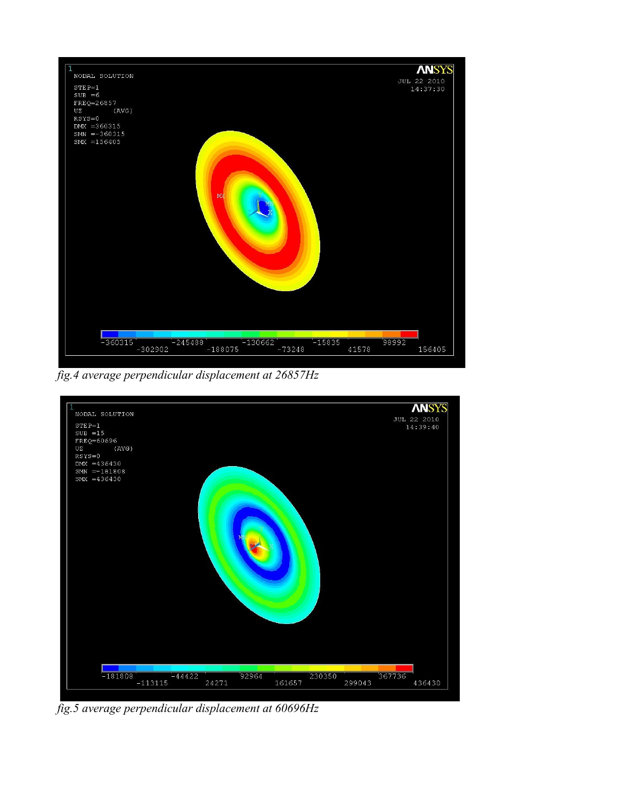

*fig.4 average perpendicular displacement at 26857Hz*



*fig.5 average perpendicular displacement at 60696Hz*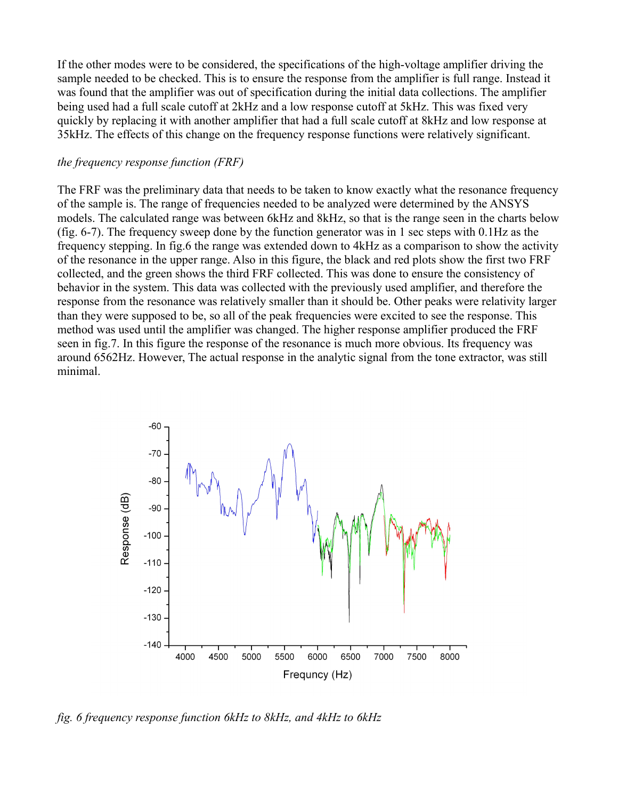If the other modes were to be considered, the specifications of the high-voltage amplifier driving the sample needed to be checked. This is to ensure the response from the amplifier is full range. Instead it was found that the amplifier was out of specification during the initial data collections. The amplifier being used had a full scale cutoff at 2kHz and a low response cutoff at 5kHz. This was fixed very quickly by replacing it with another amplifier that had a full scale cutoff at 8kHz and low response at 35kHz. The effects of this change on the frequency response functions were relatively significant.

#### *the frequency response function (FRF)*

The FRF was the preliminary data that needs to be taken to know exactly what the resonance frequency of the sample is. The range of frequencies needed to be analyzed were determined by the ANSYS models. The calculated range was between 6kHz and 8kHz, so that is the range seen in the charts below (fig. 6-7). The frequency sweep done by the function generator was in 1 sec steps with 0.1Hz as the frequency stepping. In fig.6 the range was extended down to 4kHz as a comparison to show the activity of the resonance in the upper range. Also in this figure, the black and red plots show the first two FRF collected, and the green shows the third FRF collected. This was done to ensure the consistency of behavior in the system. This data was collected with the previously used amplifier, and therefore the response from the resonance was relatively smaller than it should be. Other peaks were relativity larger than they were supposed to be, so all of the peak frequencies were excited to see the response. This method was used until the amplifier was changed. The higher response amplifier produced the FRF seen in fig.7. In this figure the response of the resonance is much more obvious. Its frequency was around 6562Hz. However, The actual response in the analytic signal from the tone extractor, was still minimal.



*fig. 6 frequency response function 6kHz to 8kHz, and 4kHz to 6kHz*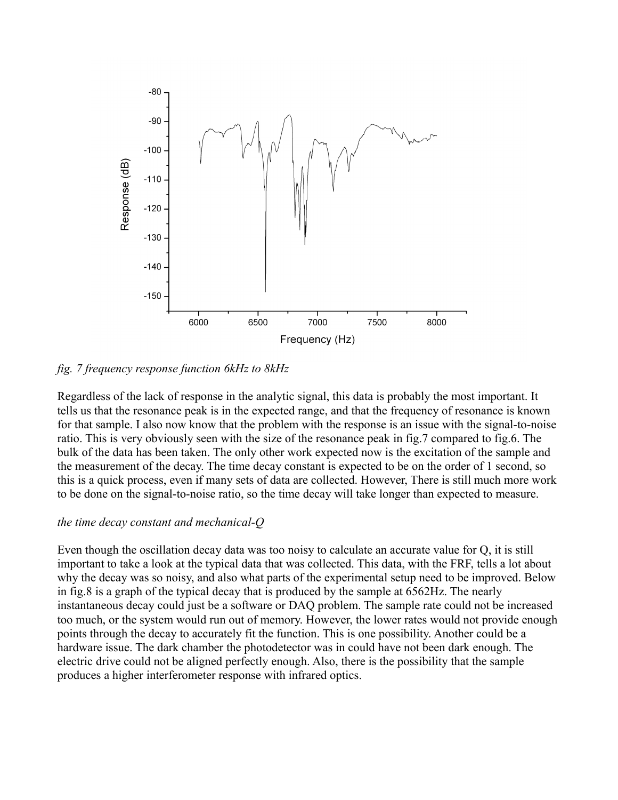

#### *fig. 7 frequency response function 6kHz to 8kHz*

Regardless of the lack of response in the analytic signal, this data is probably the most important. It tells us that the resonance peak is in the expected range, and that the frequency of resonance is known for that sample. I also now know that the problem with the response is an issue with the signal-to-noise ratio. This is very obviously seen with the size of the resonance peak in fig.7 compared to fig.6. The bulk of the data has been taken. The only other work expected now is the excitation of the sample and the measurement of the decay. The time decay constant is expected to be on the order of 1 second, so this is a quick process, even if many sets of data are collected. However, There is still much more work to be done on the signal-to-noise ratio, so the time decay will take longer than expected to measure.

#### *the time decay constant and mechanical-Q*

Even though the oscillation decay data was too noisy to calculate an accurate value for Q, it is still important to take a look at the typical data that was collected. This data, with the FRF, tells a lot about why the decay was so noisy, and also what parts of the experimental setup need to be improved. Below in fig.8 is a graph of the typical decay that is produced by the sample at 6562Hz. The nearly instantaneous decay could just be a software or DAQ problem. The sample rate could not be increased too much, or the system would run out of memory. However, the lower rates would not provide enough points through the decay to accurately fit the function. This is one possibility. Another could be a hardware issue. The dark chamber the photodetector was in could have not been dark enough. The electric drive could not be aligned perfectly enough. Also, there is the possibility that the sample produces a higher interferometer response with infrared optics.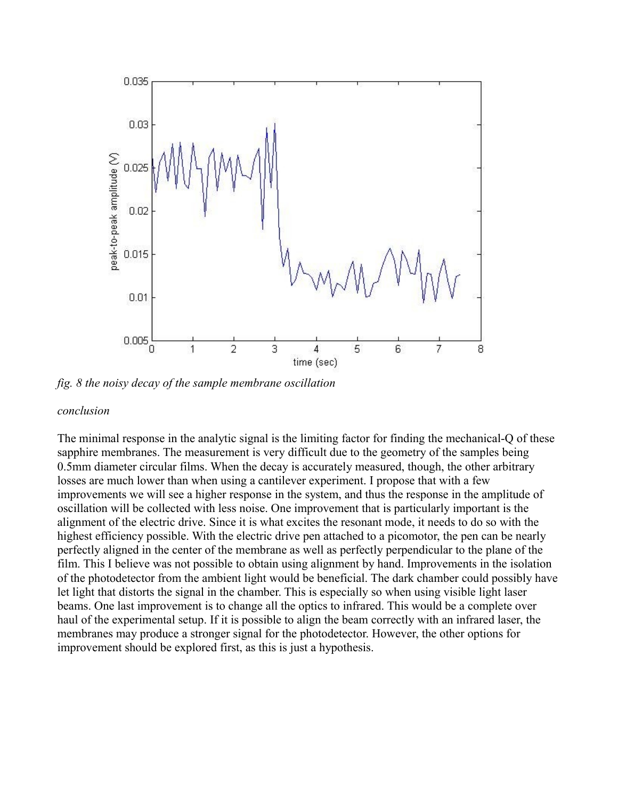

*fig. 8 the noisy decay of the sample membrane oscillation*

#### *conclusion*

The minimal response in the analytic signal is the limiting factor for finding the mechanical-Q of these sapphire membranes. The measurement is very difficult due to the geometry of the samples being 0.5mm diameter circular films. When the decay is accurately measured, though, the other arbitrary losses are much lower than when using a cantilever experiment. I propose that with a few improvements we will see a higher response in the system, and thus the response in the amplitude of oscillation will be collected with less noise. One improvement that is particularly important is the alignment of the electric drive. Since it is what excites the resonant mode, it needs to do so with the highest efficiency possible. With the electric drive pen attached to a picomotor, the pen can be nearly perfectly aligned in the center of the membrane as well as perfectly perpendicular to the plane of the film. This I believe was not possible to obtain using alignment by hand. Improvements in the isolation of the photodetector from the ambient light would be beneficial. The dark chamber could possibly have let light that distorts the signal in the chamber. This is especially so when using visible light laser beams. One last improvement is to change all the optics to infrared. This would be a complete over haul of the experimental setup. If it is possible to align the beam correctly with an infrared laser, the membranes may produce a stronger signal for the photodetector. However, the other options for improvement should be explored first, as this is just a hypothesis.